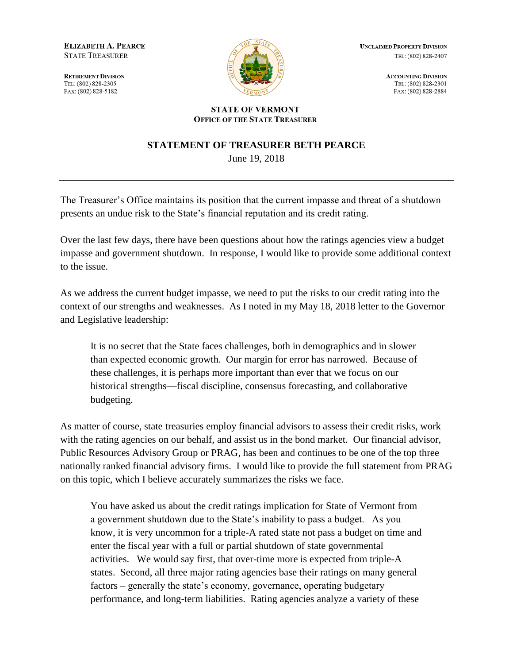**ELIZABETH A. PEARCE STATE TREASURER** 

**RETIREMENT DIVISION** TEL: (802) 828-2305 FAX: (802) 828-5182



**UNCLAIMED PROPERTY DIVISION** TEL: (802) 828-2407

> **ACCOUNTING DIVISION** TEL: (802) 828-2301 FAX: (802) 828-2884

## **STATE OF VERMONT OFFICE OF THE STATE TREASURER**

## **STATEMENT OF TREASURER BETH PEARCE**

June 19, 2018

The Treasurer's Office maintains its position that the current impasse and threat of a shutdown presents an undue risk to the State's financial reputation and its credit rating.

Over the last few days, there have been questions about how the ratings agencies view a budget impasse and government shutdown. In response, I would like to provide some additional context to the issue.

As we address the current budget impasse, we need to put the risks to our credit rating into the context of our strengths and weaknesses. As I noted in my May 18, 2018 letter to the Governor and Legislative leadership:

It is no secret that the State faces challenges, both in demographics and in slower than expected economic growth. Our margin for error has narrowed. Because of these challenges, it is perhaps more important than ever that we focus on our historical strengths—fiscal discipline, consensus forecasting, and collaborative budgeting.

As matter of course, state treasuries employ financial advisors to assess their credit risks, work with the rating agencies on our behalf, and assist us in the bond market. Our financial advisor, Public Resources Advisory Group or PRAG, has been and continues to be one of the top three nationally ranked financial advisory firms. I would like to provide the full statement from PRAG on this topic, which I believe accurately summarizes the risks we face.

You have asked us about the credit ratings implication for State of Vermont from a government shutdown due to the State's inability to pass a budget. As you know, it is very uncommon for a triple-A rated state not pass a budget on time and enter the fiscal year with a full or partial shutdown of state governmental activities. We would say first, that over-time more is expected from triple-A states. Second, all three major rating agencies base their ratings on many general factors – generally the state's economy, governance, operating budgetary performance, and long-term liabilities. Rating agencies analyze a variety of these